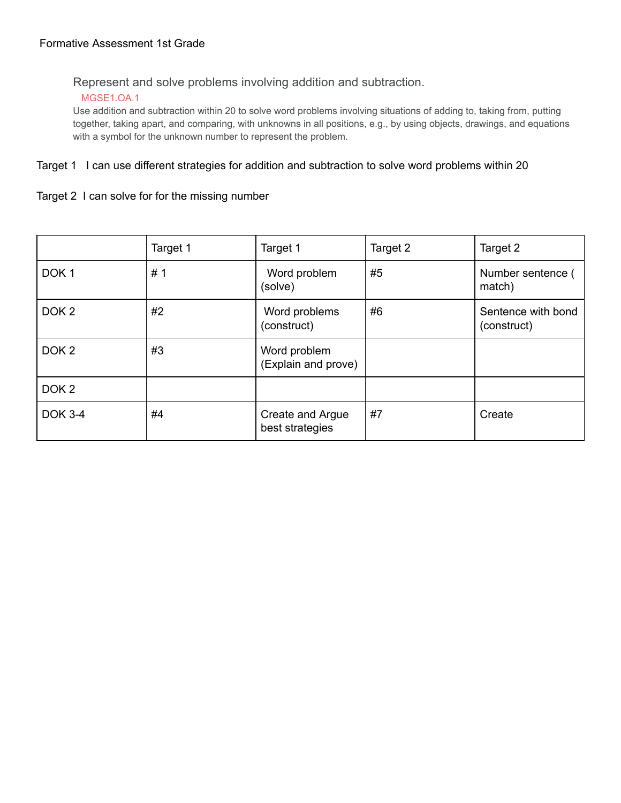Represent and solve problems involving addition and subtraction.

## MGSE1.OA.1

Use addition and subtraction within 20 to solve word problems involving situations of adding to, taking from, putting together, taking apart, and comparing, with unknowns in all positions, e.g., by using objects, drawings, and equations with a symbol for the unknown number to represent the problem.

## Target 1 I can use different strategies for addition and subtraction to solve word problems within 20

## Target 2 I can solve for for the missing number

|                  | Target 1 | Target 1                            | Target 2 | Target 2                          |
|------------------|----------|-------------------------------------|----------|-----------------------------------|
| DOK <sub>1</sub> | #1       | Word problem<br>(solve)             | #5       | Number sentence (<br>match)       |
| DOK <sub>2</sub> | #2       | Word problems<br>(construct)        | #6       | Sentence with bond<br>(construct) |
| DOK <sub>2</sub> | #3       | Word problem<br>(Explain and prove) |          |                                   |
| DOK <sub>2</sub> |          |                                     |          |                                   |
| <b>DOK 3-4</b>   | #4       | Create and Argue<br>best strategies | #7       | Create                            |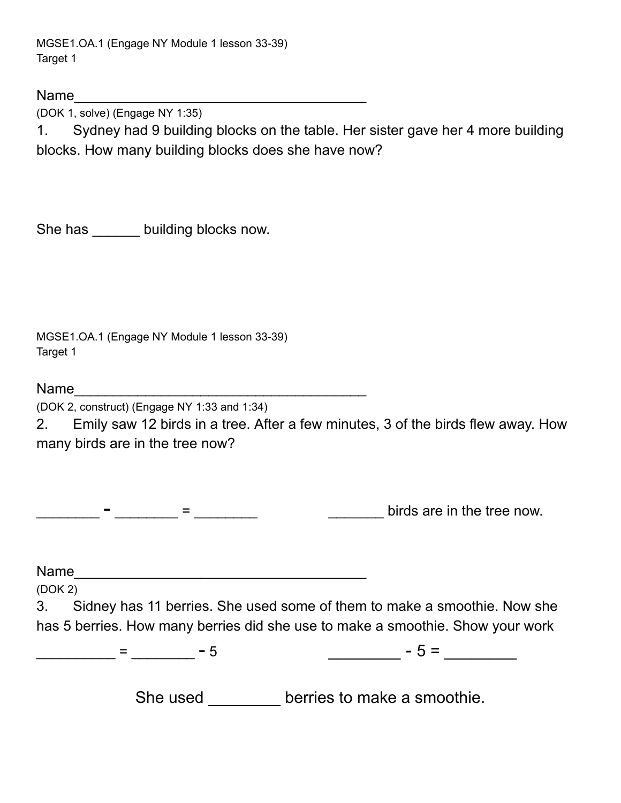MGSE1.OA.1 (Engage NY Module 1 lesson 33-39) Target 1

Name\_\_\_\_\_\_\_\_\_\_\_\_\_\_\_\_\_\_\_\_\_\_\_\_\_\_\_\_\_\_\_\_\_\_\_\_\_

(DOK 1, solve) (Engage NY 1:35)

1. Sydney had 9 building blocks on the table. Her sister gave her 4 more building blocks. How many building blocks does she have now?

She has building blocks now.

MGSE1.OA.1 (Engage NY Module 1 lesson 33-39) Target 1

 $Name$ 

(DOK 2, construct) (Engage NY 1:33 and 1:34)

2. Emily saw 12 birds in a tree. After a few minutes, 3 of the birds flew away. How many birds are in the tree now?

 $\frac{1}{2}$  -  $\frac{1}{2}$  =  $\frac{1}{2}$  =  $\frac{1}{2}$  =  $\frac{1}{2}$  =  $\frac{1}{2}$  =  $\frac{1}{2}$  birds are in the tree now.

Name\_\_\_\_\_\_\_\_\_\_\_\_\_\_\_\_\_\_\_\_\_\_\_\_\_\_\_\_\_\_\_\_\_\_\_\_\_

(DOK 2)

3. Sidney has 11 berries. She used some of them to make a smoothie. Now she has 5 berries. How many berries did she use to make a smoothie. Show your work

\_\_\_\_\_\_\_\_\_\_\_\_ = \_\_\_\_\_\_\_\_ – 5 \_\_\_\_\_\_\_\_\_\_ – 5 = \_\_\_\_\_\_\_\_\_\_

She used **berries to make a smoothie.**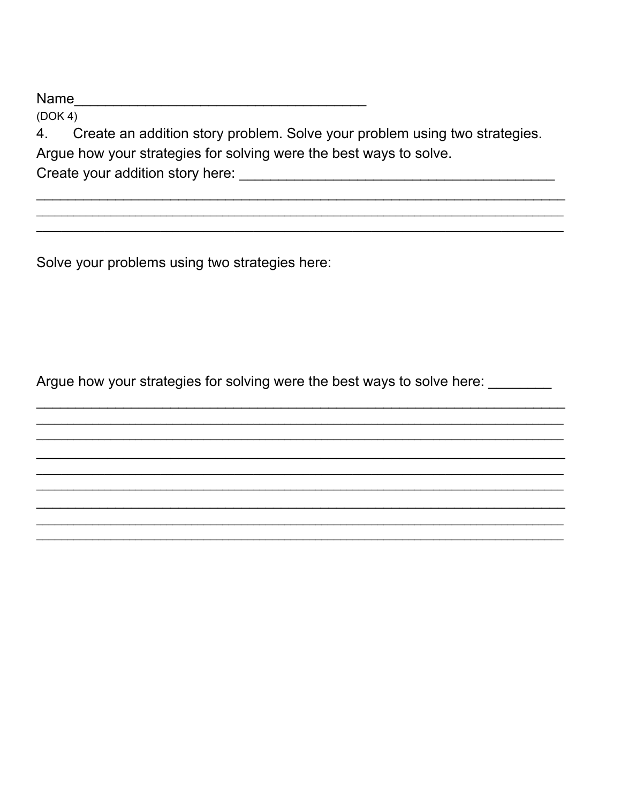$(DOK 4)$ 

Create an addition story problem. Solve your problem using two strategies. 4. Argue how your strategies for solving were the best ways to solve. 

Solve your problems using two strategies here:

Argue how your strategies for solving were the best ways to solve here: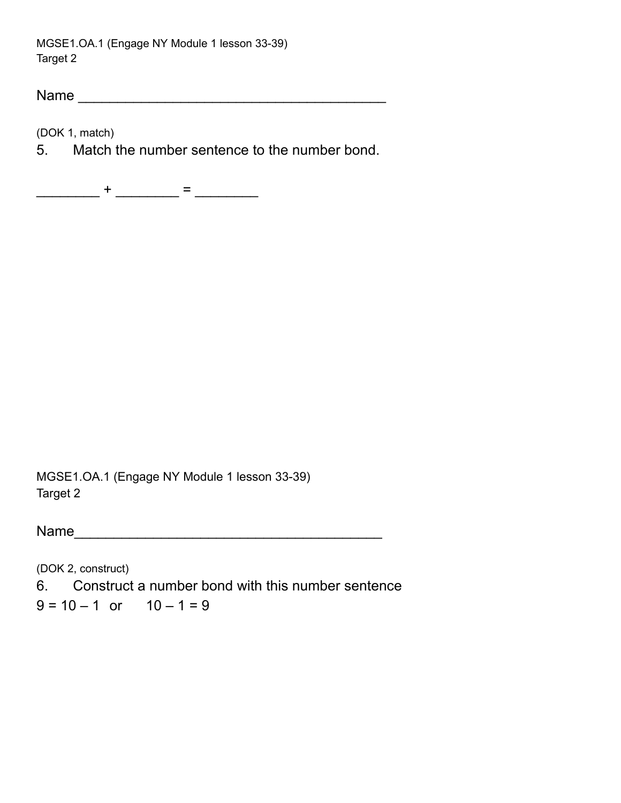MGSE1.OA.1 (Engage NY Module 1 lesson 33-39) Target 2

Name \_\_\_\_\_\_\_\_\_\_\_\_\_\_\_\_\_\_\_\_\_\_\_\_\_\_\_\_\_\_\_\_\_\_\_\_\_\_\_

(DOK 1, match)

5. Match the number sentence to the number bond.

\_\_\_\_\_\_\_\_\_\_ + \_\_\_\_\_\_\_\_ = \_\_\_\_\_\_\_\_\_

MGSE1.OA.1 (Engage NY Module 1 lesson 33-39) Target 2

Name\_\_\_\_\_\_\_\_\_\_\_\_\_\_\_\_\_\_\_\_\_\_\_\_\_\_\_\_\_\_\_\_\_\_\_\_\_\_\_

(DOK 2, construct) 6. Construct a number bond with this number sentence  $9 = 10 - 1$  or  $10 - 1 = 9$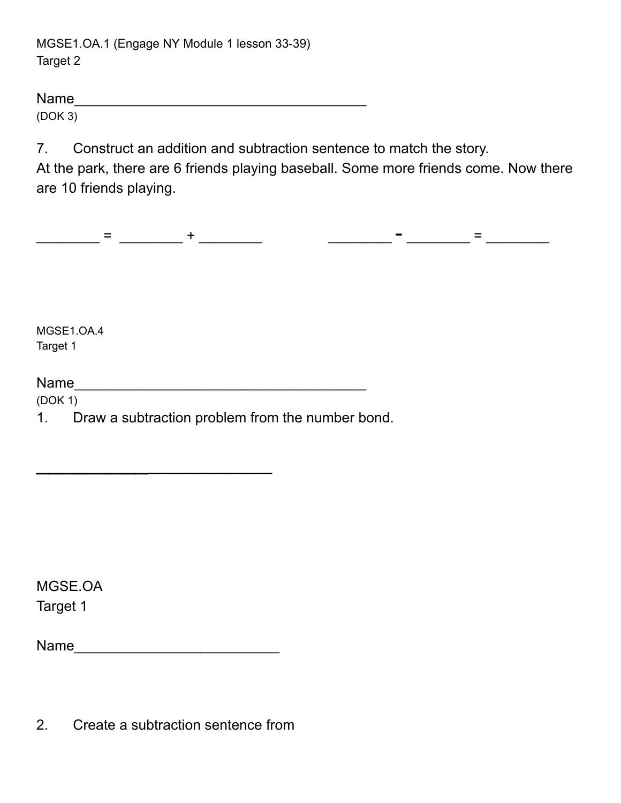MGSE1.OA.1 (Engage NY Module 1 lesson 33-39) Target 2

| <b>Name</b> |  |  |  |
|-------------|--|--|--|
| (DOK 3)     |  |  |  |

7. Construct an addition and subtraction sentence to match the story.

At the park, there are 6 friends playing baseball. Some more friends come. Now there are 10 friends playing.

\_\_\_\_\_\_\_\_ <sup>=</sup> \_\_\_\_\_\_\_\_ <sup>+</sup> \_\_\_\_\_\_\_\_ \_\_\_\_\_\_\_\_ - \_\_\_\_\_\_\_\_ <sup>=</sup> \_\_\_\_\_\_\_\_

MGSE1.OA.4 Target 1

Name\_\_\_\_\_\_\_\_\_\_\_\_\_\_\_\_\_\_\_\_\_\_\_\_\_\_\_\_\_\_\_\_\_\_\_\_\_

(DOK 1)

1. Draw a subtraction problem from the number bond.

MGSE.OA Target 1

| Name |
|------|
|------|

 $\frac{1}{2}$  ,  $\frac{1}{2}$  ,  $\frac{1}{2}$  ,  $\frac{1}{2}$  ,  $\frac{1}{2}$  ,  $\frac{1}{2}$  ,  $\frac{1}{2}$  ,  $\frac{1}{2}$  ,  $\frac{1}{2}$  ,  $\frac{1}{2}$ 

2. Create a subtraction sentence from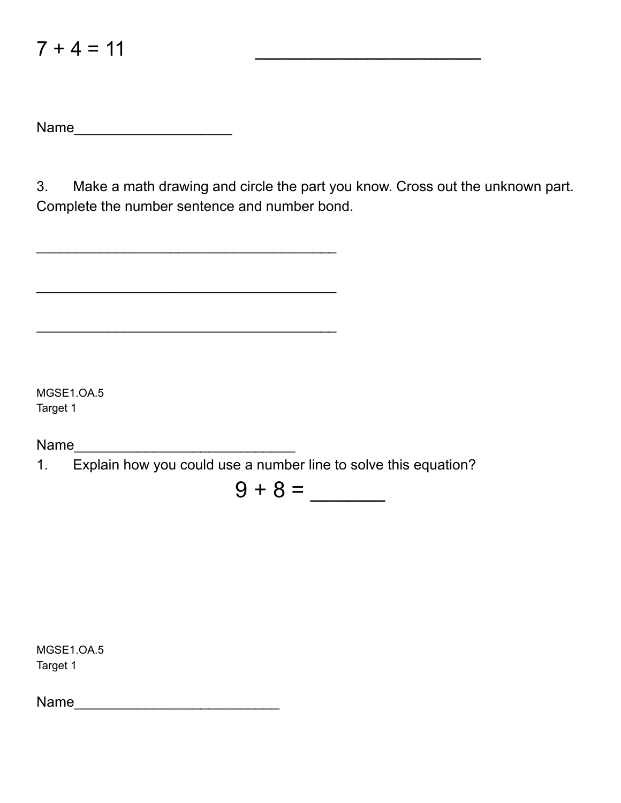| <b>Name</b> |  |  |  |
|-------------|--|--|--|
|             |  |  |  |

 $\mathcal{L}_\text{max}$  , where  $\mathcal{L}_\text{max}$  , we are the set of the set of the set of the set of the set of the set of the set of the set of the set of the set of the set of the set of the set of the set of the set of the set of

 $\mathcal{L}_\text{max}$  , where  $\mathcal{L}_\text{max}$  , we are the set of the set of the set of the set of the set of the set of the set of the set of the set of the set of the set of the set of the set of the set of the set of the set of

3. Make a math drawing and circle the part you know. Cross out the unknown part. Complete the number sentence and number bond.

MGSE1.OA.5 Target 1

Name\_\_\_\_\_\_\_\_\_\_\_\_\_\_\_\_\_\_\_\_\_\_\_\_\_\_\_\_

1. Explain how you could use a number line to solve this equation?

 $9 + 8 =$ 

MGSE1.OA.5 Target 1

Name\_\_\_\_\_\_\_\_\_\_\_\_\_\_\_\_\_\_\_\_\_\_\_\_\_\_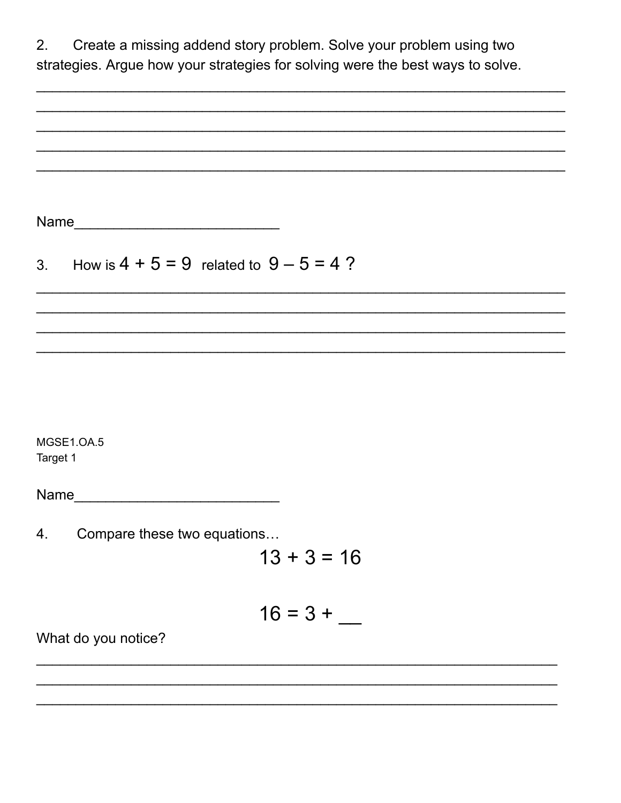| 2.       | Create a missing addend story problem. Solve your problem using two<br>strategies. Argue how your strategies for solving were the best ways to solve. |
|----------|-------------------------------------------------------------------------------------------------------------------------------------------------------|
|          |                                                                                                                                                       |
|          |                                                                                                                                                       |
|          |                                                                                                                                                       |
|          |                                                                                                                                                       |
|          |                                                                                                                                                       |
|          | Name                                                                                                                                                  |
|          |                                                                                                                                                       |
| 3.       | How is $4 + 5 = 9$ related to $9 - 5 = 4$ ?                                                                                                           |
|          |                                                                                                                                                       |
|          |                                                                                                                                                       |
|          |                                                                                                                                                       |
|          |                                                                                                                                                       |
|          |                                                                                                                                                       |
|          | <b>MGSE1.OA.5</b>                                                                                                                                     |
| Target 1 |                                                                                                                                                       |
|          |                                                                                                                                                       |
|          |                                                                                                                                                       |
| 4.       | Compare these two equations                                                                                                                           |
|          | $13 + 3 = 16$                                                                                                                                         |
|          |                                                                                                                                                       |
|          | $16 = 3 +$                                                                                                                                            |
|          | What do you notice?                                                                                                                                   |
|          |                                                                                                                                                       |
|          |                                                                                                                                                       |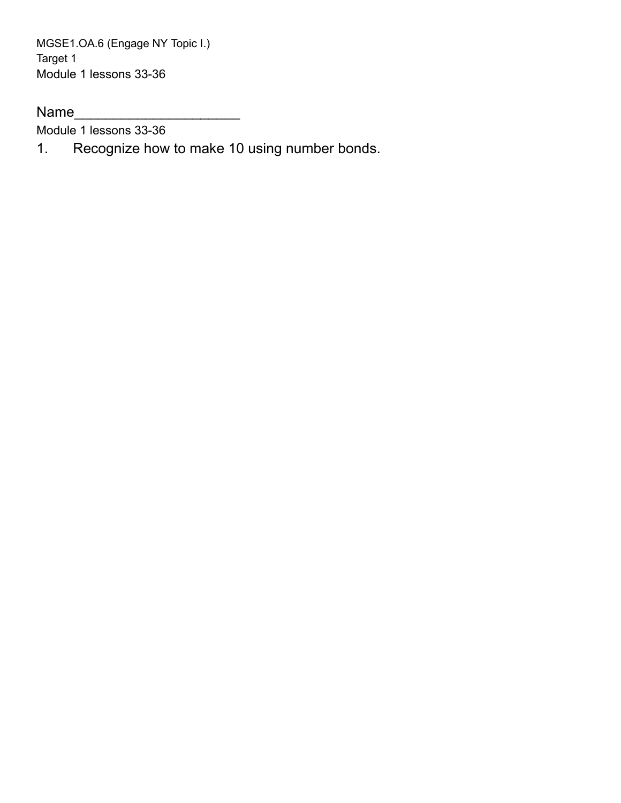MGSE1.OA.6 (Engage NY Topic I.) Target 1 Module 1 lessons 33-36

Name\_\_\_\_\_\_\_\_\_\_\_\_\_\_\_\_\_\_\_\_\_

Module 1 lessons 33-36

1. Recognize how to make 10 using number bonds.